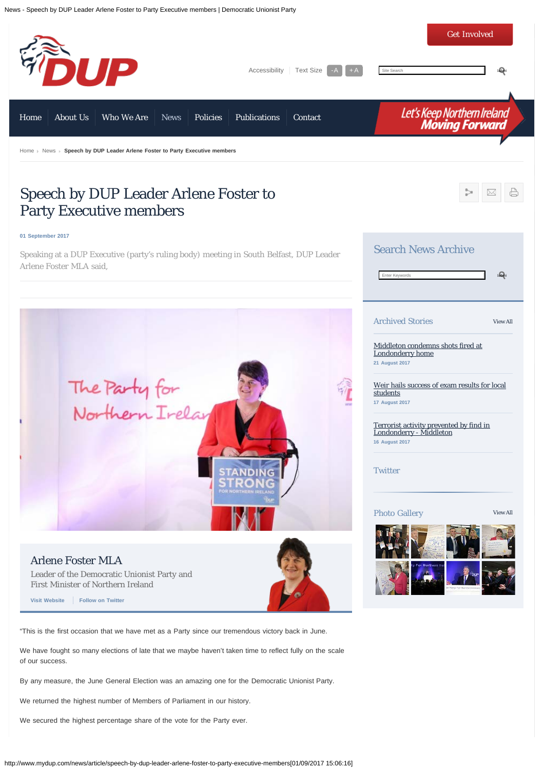

By any measure, the June General Election was an amazing one for the Democratic Unionist Party.

We returned the highest number of Members of Parliament in our history.

We secured the highest percentage share of the vote for the Party ever.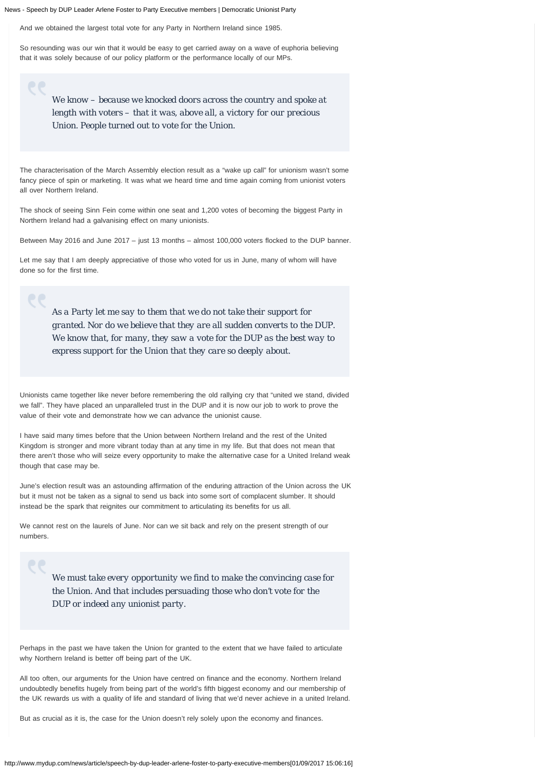And we obtained the largest total vote for any Party in Northern Ireland since 1985.

So resounding was our win that it would be easy to get carried away on a wave of euphoria believing that it was solely because of our policy platform or the performance locally of our MPs.

> *We know – because we knocked doors across the country and spoke at length with voters – that it was, above all, a victory for our precious Union. People turned out to vote for the Union.*

The characterisation of the March Assembly election result as a "wake up call" for unionism wasn't some fancy piece of spin or marketing. It was what we heard time and time again coming from unionist voters all over Northern Ireland.

The shock of seeing Sinn Fein come within one seat and 1,200 votes of becoming the biggest Party in Northern Ireland had a galvanising effect on many unionists.

Between May 2016 and June 2017 – just 13 months – almost 100,000 voters flocked to the DUP banner.

Let me say that I am deeply appreciative of those who voted for us in June, many of whom will have done so for the first time.

*As a Party let me say to them that we do not take their support for granted. Nor do we believe that they are all sudden converts to the DUP. We know that, for many, they saw a vote for the DUP as the best way to express support for the Union that they care so deeply about.*

Unionists came together like never before remembering the old rallying cry that "united we stand, divided we fall". They have placed an unparalleled trust in the DUP and it is now our job to work to prove the value of their vote and demonstrate how we can advance the unionist cause.

I have said many times before that the Union between Northern Ireland and the rest of the United Kingdom is stronger and more vibrant today than at any time in my life. But that does not mean that there aren't those who will seize every opportunity to make the alternative case for a United Ireland weak though that case may be.

June's election result was an astounding affirmation of the enduring attraction of the Union across the UK but it must not be taken as a signal to send us back into some sort of complacent slumber. It should instead be the spark that reignites our commitment to articulating its benefits for us all.

We cannot rest on the laurels of June. Nor can we sit back and rely on the present strength of our numbers.

> *We must take every opportunity we find to make the convincing case for the Union. And that includes persuading those who don't vote for the DUP or indeed any unionist party.*

Perhaps in the past we have taken the Union for granted to the extent that we have failed to articulate why Northern Ireland is better off being part of the UK.

All too often, our arguments for the Union have centred on finance and the economy. Northern Ireland undoubtedly benefits hugely from being part of the world's fifth biggest economy and our membership of the UK rewards us with a quality of life and standard of living that we'd never achieve in a united Ireland.

But as crucial as it is, the case for the Union doesn't rely solely upon the economy and finances.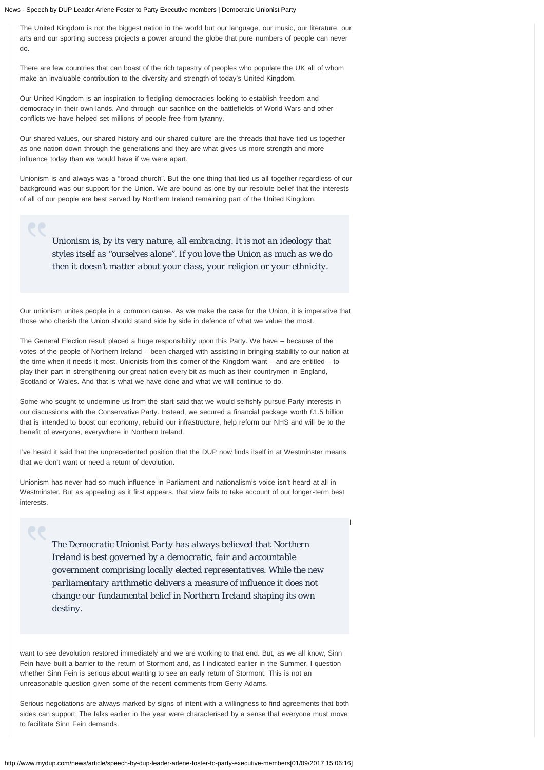The United Kingdom is not the biggest nation in the world but our language, our music, our literature, our arts and our sporting success projects a power around the globe that pure numbers of people can never do.

There are few countries that can boast of the rich tapestry of peoples who populate the UK all of whom make an invaluable contribution to the diversity and strength of today's United Kingdom.

Our United Kingdom is an inspiration to fledgling democracies looking to establish freedom and democracy in their own lands. And through our sacrifice on the battlefields of World Wars and other conflicts we have helped set millions of people free from tyranny.

Our shared values, our shared history and our shared culture are the threads that have tied us together as one nation down through the generations and they are what gives us more strength and more influence today than we would have if we were apart.

Unionism is and always was a "broad church". But the one thing that tied us all together regardless of our background was our support for the Union. We are bound as one by our resolute belief that the interests of all of our people are best served by Northern Ireland remaining part of the United Kingdom.

*Unionism is, by its very nature, all embracing. It is not an ideology that styles itself as "ourselves alone". If you love the Union as much as we do then it doesn't matter about your class, your religion or your ethnicity.*

Our unionism unites people in a common cause. As we make the case for the Union, it is imperative that those who cherish the Union should stand side by side in defence of what we value the most.

The General Election result placed a huge responsibility upon this Party. We have – because of the votes of the people of Northern Ireland – been charged with assisting in bringing stability to our nation at the time when it needs it most. Unionists from this corner of the Kingdom want – and are entitled – to play their part in strengthening our great nation every bit as much as their countrymen in England, Scotland or Wales. And that is what we have done and what we will continue to do.

Some who sought to undermine us from the start said that we would selfishly pursue Party interests in our discussions with the Conservative Party. Instead, we secured a financial package worth £1.5 billion that is intended to boost our economy, rebuild our infrastructure, help reform our NHS and will be to the benefit of everyone, everywhere in Northern Ireland.

I've heard it said that the unprecedented position that the DUP now finds itself in at Westminster means that we don't want or need a return of devolution.

Unionism has never had so much influence in Parliament and nationalism's voice isn't heard at all in Westminster. But as appealing as it first appears, that view fails to take account of our longer-term best interests.

*The Democratic Unionist Party has always believed that Northern Ireland is best governed by a democratic, fair and accountable government comprising locally elected representatives. While the new parliamentary arithmetic delivers a measure of influence it does not change our fundamental belief in Northern Ireland shaping its own destiny.*

I

want to see devolution restored immediately and we are working to that end. But, as we all know, Sinn Fein have built a barrier to the return of Stormont and, as I indicated earlier in the Summer, I question whether Sinn Fein is serious about wanting to see an early return of Stormont. This is not an unreasonable question given some of the recent comments from Gerry Adams.

Serious negotiations are always marked by signs of intent with a willingness to find agreements that both sides can support. The talks earlier in the year were characterised by a sense that everyone must move to facilitate Sinn Fein demands.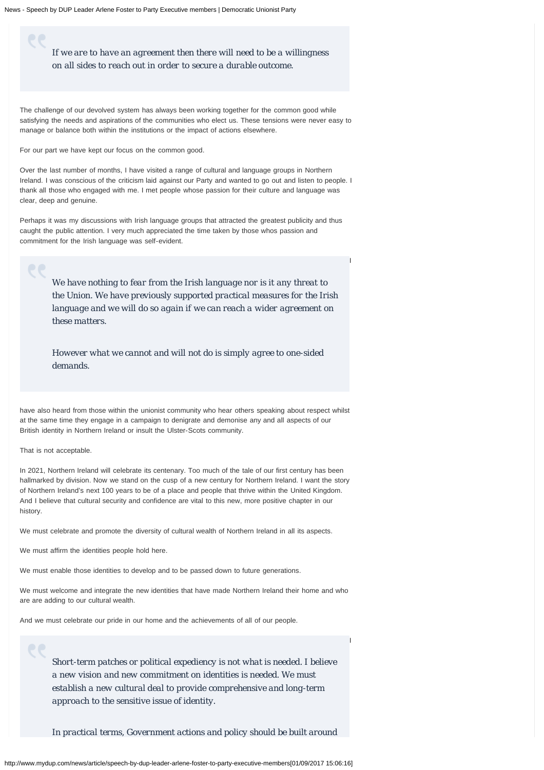*If we are to have an agreement then there will need to be a willingness on all sides to reach out in order to secure a durable outcome.*

The challenge of our devolved system has always been working together for the common good while satisfying the needs and aspirations of the communities who elect us. These tensions were never easy to manage or balance both within the institutions or the impact of actions elsewhere.

For our part we have kept our focus on the common good.

Over the last number of months, I have visited a range of cultural and language groups in Northern Ireland. I was conscious of the criticism laid against our Party and wanted to go out and listen to people. I thank all those who engaged with me. I met people whose passion for their culture and language was clear, deep and genuine.

Perhaps it was my discussions with Irish language groups that attracted the greatest publicity and thus caught the public attention. I very much appreciated the time taken by those whos passion and commitment for the Irish language was self-evident.

> *We have nothing to fear from the Irish language nor is it any threat to the Union. We have previously supported practical measures for the Irish language and we will do so again if we can reach a wider agreement on these matters.*

I

I

*However what we cannot and will not do is simply agree to one-sided demands.*

have also heard from those within the unionist community who hear others speaking about respect whilst at the same time they engage in a campaign to denigrate and demonise any and all aspects of our British identity in Northern Ireland or insult the Ulster-Scots community.

That is not acceptable.

In 2021, Northern Ireland will celebrate its centenary. Too much of the tale of our first century has been hallmarked by division. Now we stand on the cusp of a new century for Northern Ireland. I want the story of Northern Ireland's next 100 years to be of a place and people that thrive within the United Kingdom. And I believe that cultural security and confidence are vital to this new, more positive chapter in our history.

We must celebrate and promote the diversity of cultural wealth of Northern Ireland in all its aspects.

We must affirm the identities people hold here.

We must enable those identities to develop and to be passed down to future generations.

We must welcome and integrate the new identities that have made Northern Ireland their home and who are are adding to our cultural wealth.

And we must celebrate our pride in our home and the achievements of all of our people.

*Short-term patches or political expediency is not what is needed. I believe a new vision and new commitment on identities is needed. We must establish a new cultural deal to provide comprehensive and long-term approach to the sensitive issue of identity.*

*In practical terms, Government actions and policy should be built around*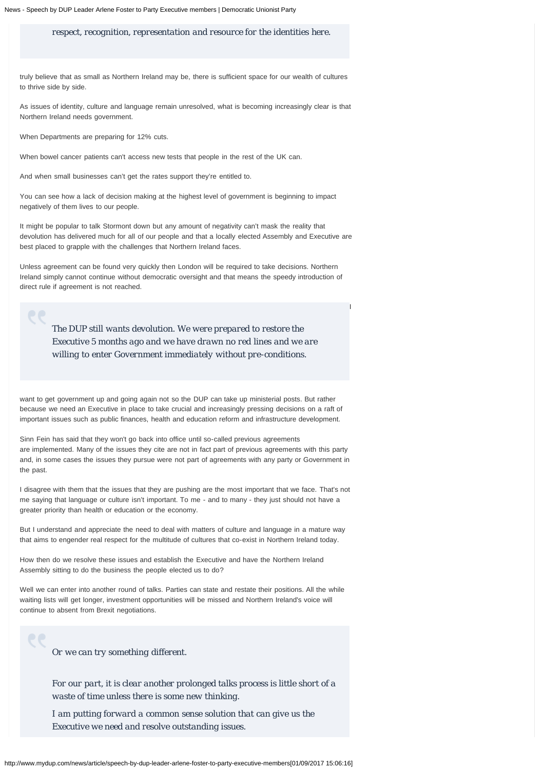*respect, recognition, representation and resource for the identities here.*

truly believe that as small as Northern Ireland may be, there is sufficient space for our wealth of cultures to thrive side by side.

As issues of identity, culture and language remain unresolved, what is becoming increasingly clear is that Northern Ireland needs government.

When Departments are preparing for 12% cuts.

When bowel cancer patients can't access new tests that people in the rest of the UK can.

And when small businesses can't get the rates support they're entitled to.

You can see how a lack of decision making at the highest level of government is beginning to impact negatively of them lives to our people.

It might be popular to talk Stormont down but any amount of negativity can't mask the reality that devolution has delivered much for all of our people and that a locally elected Assembly and Executive are best placed to grapple with the challenges that Northern Ireland faces.

Unless agreement can be found very quickly then London will be required to take decisions. Northern Ireland simply cannot continue without democratic oversight and that means the speedy introduction of direct rule if agreement is not reached.

*The DUP still wants devolution. We were prepared to restore the Executive 5 months ago and we have drawn no red lines and we are willing to enter Government immediately without pre-conditions.*

I

want to get government up and going again not so the DUP can take up ministerial posts. But rather because we need an Executive in place to take crucial and increasingly pressing decisions on a raft of important issues such as public finances, health and education reform and infrastructure development.

Sinn Fein has said that they won't go back into office until so-called previous agreements are implemented. Many of the issues they cite are not in fact part of previous agreements with this party and, in some cases the issues they pursue were not part of agreements with any party or Government in the past.

I disagree with them that the issues that they are pushing are the most important that we face. That's not me saying that language or culture isn't important. To me - and to many - they just should not have a greater priority than health or education or the economy.

But I understand and appreciate the need to deal with matters of culture and language in a mature way that aims to engender real respect for the multitude of cultures that co-exist in Northern Ireland today.

How then do we resolve these issues and establish the Executive and have the Northern Ireland Assembly sitting to do the business the people elected us to do?

Well we can enter into another round of talks. Parties can state and restate their positions. All the while waiting lists will get longer, investment opportunities will be missed and Northern Ireland's voice will continue to absent from Brexit negotiations.

*Or we can try something different.*

*For our part, it is clear another prolonged talks process is little short of a waste of time unless there is some new thinking.*

*I am putting forward a common sense solution that can give us the Executive we need and resolve outstanding issues.*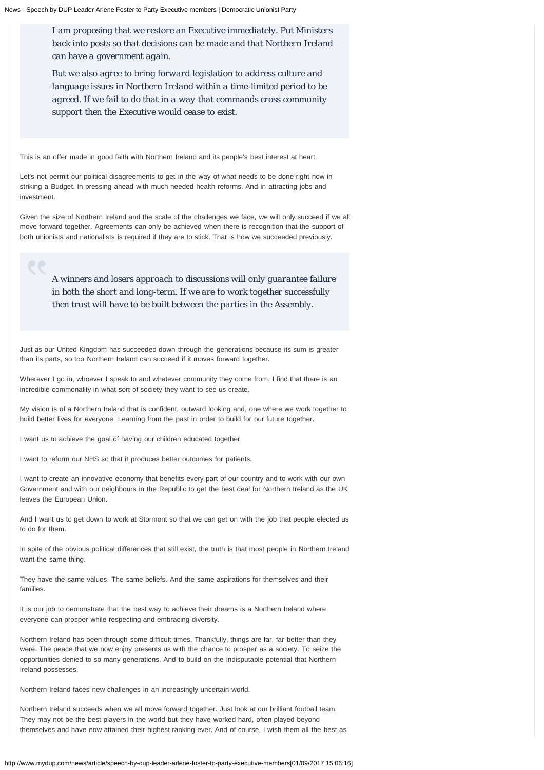*I am proposing that we restore an Executive immediately. Put Ministers back into posts so that decisions can be made and that Northern Ireland can have a government again.*

*But we also agree to bring forward legislation to address culture and language issues in Northern Ireland within a time-limited period to be agreed. If we fail to do that in a way that commands cross community support then the Executive would cease to exist.*

This is an offer made in good faith with Northern Ireland and its people's best interest at heart.

Let's not permit our political disagreements to get in the way of what needs to be done right now in striking a Budget. In pressing ahead with much needed health reforms. And in attracting jobs and investment.

Given the size of Northern Ireland and the scale of the challenges we face, we will only succeed if we all move forward together. Agreements can only be achieved when there is recognition that the support of both unionists and nationalists is required if they are to stick. That is how we succeeded previously.

*A winners and losers approach to discussions will only guarantee failure in both the short and long-term. If we are to work together successfully then trust will have to be built between the parties in the Assembly.*

Just as our United Kingdom has succeeded down through the generations because its sum is greater than its parts, so too Northern Ireland can succeed if it moves forward together.

Wherever I go in, whoever I speak to and whatever community they come from, I find that there is an incredible commonality in what sort of society they want to see us create.

My vision is of a Northern Ireland that is confident, outward looking and, one where we work together to build better lives for everyone. Learning from the past in order to build for our future together.

I want us to achieve the goal of having our children educated together.

I want to reform our NHS so that it produces better outcomes for patients.

I want to create an innovative economy that benefits every part of our country and to work with our own Government and with our neighbours in the Republic to get the best deal for Northern Ireland as the UK leaves the European Union.

And I want us to get down to work at Stormont so that we can get on with the job that people elected us to do for them.

In spite of the obvious political differences that still exist, the truth is that most people in Northern Ireland want the same thing.

They have the same values. The same beliefs. And the same aspirations for themselves and their families.

It is our job to demonstrate that the best way to achieve their dreams is a Northern Ireland where everyone can prosper while respecting and embracing diversity.

Northern Ireland has been through some difficult times. Thankfully, things are far, far better than they were. The peace that we now enjoy presents us with the chance to prosper as a society. To seize the opportunities denied to so many generations. And to build on the indisputable potential that Northern Ireland possesses.

Northern Ireland faces new challenges in an increasingly uncertain world.

Northern Ireland succeeds when we all move forward together. Just look at our brilliant football team. They may not be the best players in the world but they have worked hard, often played beyond themselves and have now attained their highest ranking ever. And of course, I wish them all the best as